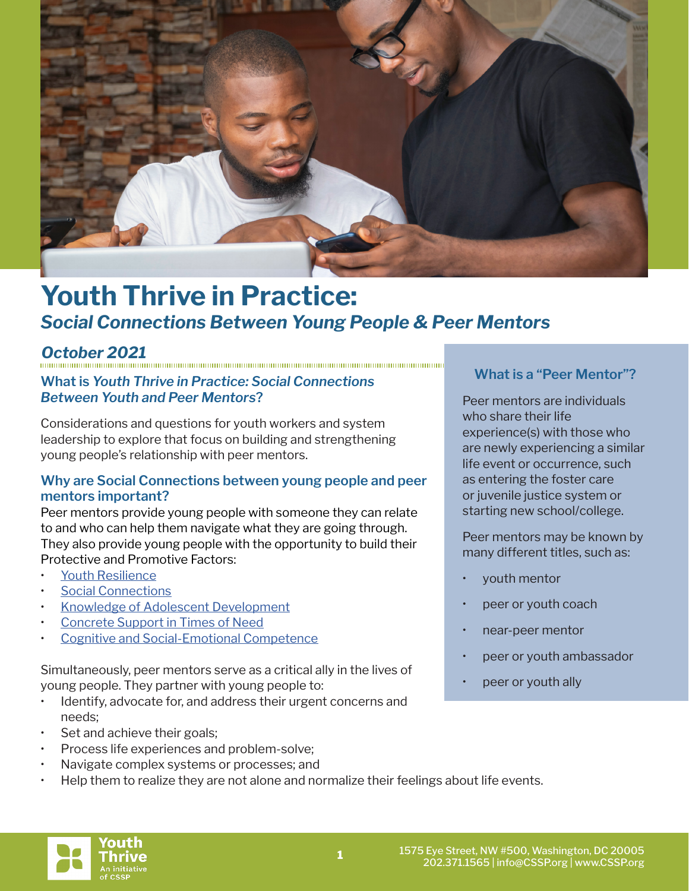

# **Youth Thrive in Practice:** *Social Connections Between Young People & Peer Mentors*

*October 2021*

# **What is** *Youth Thrive in Practice: Social Connections Between Youth and Peer Mentors***?**

Considerations and questions for youth workers and system leadership to explore that focus on building and strengthening young people's relationship with peer mentors.

# **Why are Social Connections between young people and peer mentors important?**

Peer mentors provide young people with someone they can relate to and who can help them navigate what they are going through. They also provide young people with the opportunity to build their Protective and Promotive Factors:

- [Youth Resilience](https://cssp.org/resource/yt-youth-resilience/)
- [Social Connections](https://cssp.org/resource/yt-social-connections/)
- [Knowledge of Adolescent Development](https://cssp.org/resource/yt-knowledge-of-adolescent-development/)
- [Concrete Support in Times of Need](https://cssp.org/resource/yt-concrete-support-in-times-of-need/)
- [Cognitive and Social-Emotional Competence](https://cssp.org/resource/yt-cognitive-and-social-emotional-competence-in-youth/)

Simultaneously, peer mentors serve as a critical ally in the lives of young people. They partner with young people to:

- Identify, advocate for, and address their urgent concerns and needs;
- Set and achieve their goals;
- Process life experiences and problem-solve;
- Navigate complex systems or processes; and
- Help them to realize they are not alone and normalize their feelings about life events.

# **What is a "Peer Mentor"?**

Peer mentors are individuals who share their life experience(s) with those who are newly experiencing a similar life event or occurrence, such as entering the foster care or juvenile justice system or starting new school/college.

Peer mentors may be known by many different titles, such as:

- youth mentor
- peer or youth coach
- near-peer mentor
- peer or youth ambassador
- peer or youth ally

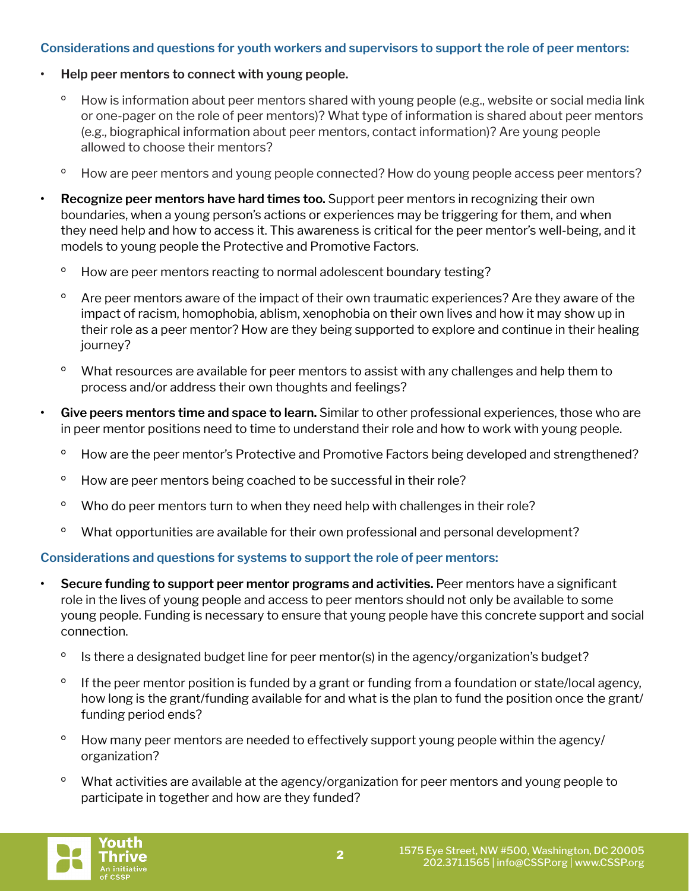# **Considerations and questions for youth workers and supervisors to support the role of peer mentors:**

- **• Help peer mentors to connect with young people.** 
	- <sup>o</sup> How is information about peer mentors shared with young people (e.g., website or social media link or one-pager on the role of peer mentors)? What type of information is shared about peer mentors (e.g., biographical information about peer mentors, contact information)? Are young people allowed to choose their mentors?
	- <sup>o</sup> How are peer mentors and young people connected? How do young people access peer mentors?
- **• Recognize peer mentors have hard times too.** Support peer mentors in recognizing their own boundaries, when a young person's actions or experiences may be triggering for them, and when they need help and how to access it. This awareness is critical for the peer mentor's well-being, and it models to young people the Protective and Promotive Factors.
	- º How are peer mentors reacting to normal adolescent boundary testing?
	- <sup>o</sup> Are peer mentors aware of the impact of their own traumatic experiences? Are they aware of the impact of racism, homophobia, ablism, xenophobia on their own lives and how it may show up in their role as a peer mentor? How are they being supported to explore and continue in their healing journey?
	- <sup>o</sup> What resources are available for peer mentors to assist with any challenges and help them to process and/or address their own thoughts and feelings?
- **• Give peers mentors time and space to learn.** Similar to other professional experiences, those who are in peer mentor positions need to time to understand their role and how to work with young people.
	- <sup>o</sup> How are the peer mentor's Protective and Promotive Factors being developed and strengthened?
	- <sup>o</sup> How are peer mentors being coached to be successful in their role?
	- <sup>o</sup> Who do peer mentors turn to when they need help with challenges in their role?
	- <sup>o</sup> What opportunities are available for their own professional and personal development?

# **Considerations and questions for systems to support the role of peer mentors:**

- **• Secure funding to support peer mentor programs and activities.** Peer mentors have a significant role in the lives of young people and access to peer mentors should not only be available to some young people. Funding is necessary to ensure that young people have this concrete support and social connection.
- <sup>o</sup> Is there a designated budget line for peer mentor(s) in the agency/organization's budget?
- <sup>o</sup> If the peer mentor position is funded by a grant or funding from a foundation or state/local agency, how long is the grant/funding available for and what is the plan to fund the position once the grant/ funding period ends?
- <sup>o</sup> How many peer mentors are needed to effectively support young people within the agency/ organization?
- <sup>o</sup> What activities are available at the agency/organization for peer mentors and young people to participate in together and how are they funded?

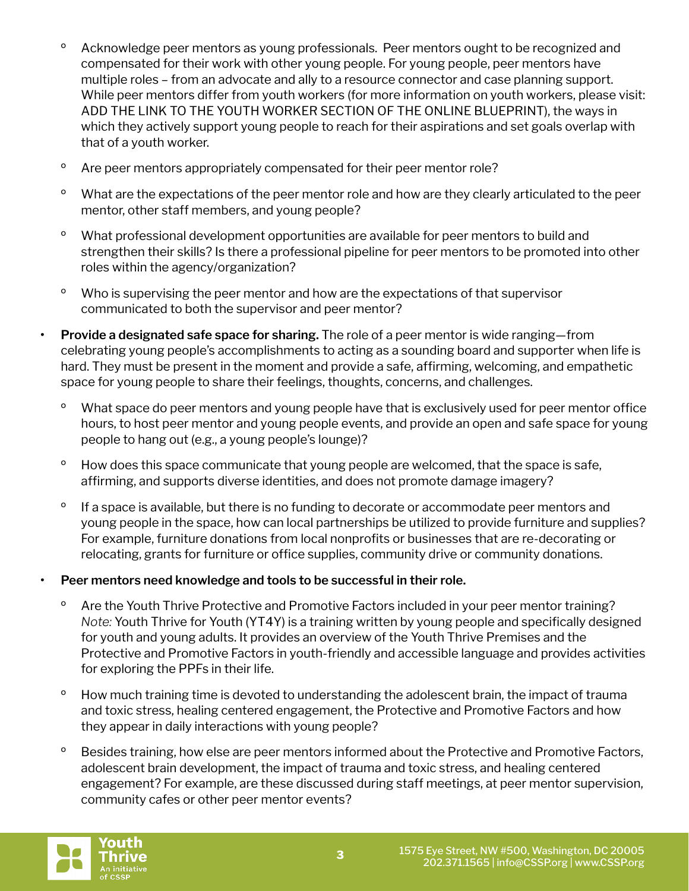- <sup>o</sup> Acknowledge peer mentors as young professionals. Peer mentors ought to be recognized and compensated for their work with other young people. For young people, peer mentors have multiple roles – from an advocate and ally to a resource connector and case planning support. While peer mentors differ from youth workers (for more information on youth workers, please visit: ADD THE LINK TO THE YOUTH WORKER SECTION OF THE ONLINE BLUEPRINT), the ways in which they actively support young people to reach for their aspirations and set goals overlap with that of a youth worker.
- º Are peer mentors appropriately compensated for their peer mentor role?
- <sup>o</sup> What are the expectations of the peer mentor role and how are they clearly articulated to the peer mentor, other staff members, and young people?
- º What professional development opportunities are available for peer mentors to build and strengthen their skills? Is there a professional pipeline for peer mentors to be promoted into other roles within the agency/organization?
- º Who is supervising the peer mentor and how are the expectations of that supervisor communicated to both the supervisor and peer mentor?
- **• Provide a designated safe space for sharing.** The role of a peer mentor is wide ranging—from celebrating young people's accomplishments to acting as a sounding board and supporter when life is hard. They must be present in the moment and provide a safe, affirming, welcoming, and empathetic space for young people to share their feelings, thoughts, concerns, and challenges.
	- <sup>o</sup> What space do peer mentors and young people have that is exclusively used for peer mentor office hours, to host peer mentor and young people events, and provide an open and safe space for young people to hang out (e.g., a young people's lounge)?
	- <sup>o</sup> How does this space communicate that young people are welcomed, that the space is safe, affirming, and supports diverse identities, and does not promote damage imagery?
	- <sup>o</sup> If a space is available, but there is no funding to decorate or accommodate peer mentors and young people in the space, how can local partnerships be utilized to provide furniture and supplies? For example, furniture donations from local nonprofits or businesses that are re-decorating or relocating, grants for furniture or office supplies, community drive or community donations.

# **• Peer mentors need knowledge and tools to be successful in their role.**

- <sup>o</sup> Are the Youth Thrive Protective and Promotive Factors included in your peer mentor training? *Note:* Youth Thrive for Youth (YT4Y) is a training written by young people and specifically designed for youth and young adults. It provides an overview of the Youth Thrive Premises and the Protective and Promotive Factors in youth-friendly and accessible language and provides activities for exploring the PPFs in their life.
- <sup>o</sup> How much training time is devoted to understanding the adolescent brain, the impact of trauma and toxic stress, healing centered engagement, the Protective and Promotive Factors and how they appear in daily interactions with young people?
- <sup>o</sup> Besides training, how else are peer mentors informed about the Protective and Promotive Factors, adolescent brain development, the impact of trauma and toxic stress, and healing centered engagement? For example, are these discussed during staff meetings, at peer mentor supervision, community cafes or other peer mentor events?